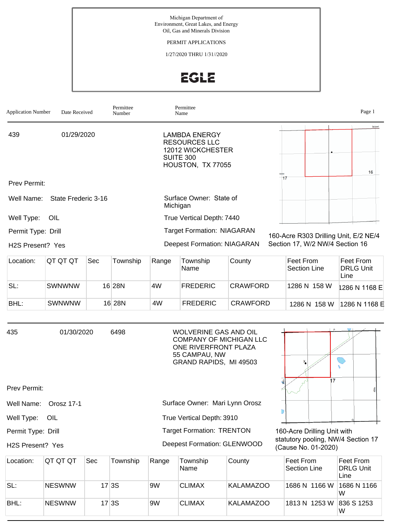Michigan Department of Environment, Great Lakes, and Energy Oil, Gas and Minerals Division

PERMIT APPLICATIONS

1/27/2020 THRU 1/31//2020

## EGLE

| <b>Application Number</b>     | Date Received       |     | Permittee<br>Number |                                                                       | Permittee<br>Name                                                                            |        |    |                                       |  | Page 1                        |
|-------------------------------|---------------------|-----|---------------------|-----------------------------------------------------------------------|----------------------------------------------------------------------------------------------|--------|----|---------------------------------------|--|-------------------------------|
|                               |                     |     |                     |                                                                       |                                                                                              |        |    |                                       |  | Deward                        |
| 439                           | 01/29/2020          |     |                     |                                                                       | LAMBDA ENERGY<br><b>RESOURCES LLC</b><br>12012 WICKCHESTER<br>SUITE 300<br>HOUSTON, TX 77055 |        |    |                                       |  | 16                            |
| <b>Prev Permit:</b>           |                     |     |                     |                                                                       |                                                                                              |        | 17 |                                       |  |                               |
| Well Name:                    | State Frederic 3-16 |     |                     |                                                                       | Surface Owner: State of<br>Michigan                                                          |        |    |                                       |  |                               |
| Well Type:                    | OIL                 |     |                     |                                                                       | True Vertical Depth: 7440                                                                    |        |    |                                       |  |                               |
| Permit Type: Drill            |                     |     |                     |                                                                       | <b>Target Formation: NIAGARAN</b>                                                            |        |    | 160-Acre R303 Drilling Unit, E/2 NE/4 |  |                               |
| H <sub>2</sub> S Present? Yes |                     |     |                     | Section 17, W/2 NW/4 Section 16<br><b>Deepest Formation: NIAGARAN</b> |                                                                                              |        |    |                                       |  |                               |
| Location:                     | QT QT QT            | Sec | Township            | Range                                                                 | Township<br>Name                                                                             | County |    | Feet From<br>Section Line             |  | Feet From<br><b>DRLG Unit</b> |

|      |               |         |     | Name            |                 | Section Line | <b>IDRLG Unit</b><br>Line |
|------|---------------|---------|-----|-----------------|-----------------|--------------|---------------------------|
| SL:  | <b>SWNWNW</b> | 16 28 N | .4W | <b>FREDERIC</b> | <b>CRAWFORD</b> | 1286 N 158 W | 1286 N 1168 E             |
| BHL: | SWNWNW        | 16 28N  | 4W  | FREDERIC        | CRAWFORD        | 1286 N 158 W | 1286 N 1168 E             |

| 435<br>Prev Permit:                                 | 01/30/2020               |            | 6498     |       | WOLVERINE GAS AND OIL<br><b>COMPANY OF MICHIGAN LLC</b><br>ONE RIVERFRONT PLAZA<br>55 CAMPAU, NW<br>GRAND RAPIDS, MI 49503 |        | 17                                                                                       |                                       |
|-----------------------------------------------------|--------------------------|------------|----------|-------|----------------------------------------------------------------------------------------------------------------------------|--------|------------------------------------------------------------------------------------------|---------------------------------------|
| Well Name:<br>Well Type:                            | <b>Orosz 17-1</b><br>OIL |            |          |       | Surface Owner: Mari Lynn Orosz<br>True Vertical Depth: 3910                                                                |        |                                                                                          |                                       |
| Permit Type: Drill<br>H <sub>2</sub> S Present? Yes |                          |            |          |       | <b>Target Formation: TRENTON</b><br>Deepest Formation: GLENWOOD                                                            |        | 160-Acre Drilling Unit with<br>statutory pooling, NW/4 Section 17<br>(Cause No. 01-2020) |                                       |
| Location:                                           | QT QT QT                 | <b>Sec</b> | Township | Range | Township<br>Name                                                                                                           | County | Feet From<br>Section Line                                                                | Feet From<br><b>DRLG Unit</b><br>Line |

|      |               |       |    | Name          |                  | Section Line             | <b>DRLG Unit</b><br>Line |
|------|---------------|-------|----|---------------|------------------|--------------------------|--------------------------|
| SL:  | <b>NESWNW</b> | 17 3S | 9W | <b>CLIMAX</b> | <b>KALAMAZOO</b> | 1686 N 1166 W            | 1686 N 1166              |
| BHL: | <b>NESWNW</b> | 17 3S | 9W | <b>CLIMAX</b> | KALAMAZOO        | 1813 N 1253 W 836 S 1253 | W                        |
|      |               |       |    |               |                  |                          |                          |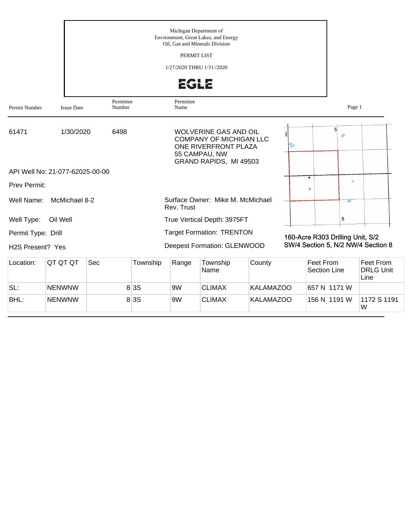|                                        |                                 |                     |          | Michigan Department of<br>Oil. Gas and Minerals Division<br>PERMIT LIST<br>1/27/2020 THRU 1/31//2020<br><b>EGLE</b> | Environment, Great Lakes, and Energy                                                                                              |                  |                                  |             |                                       |
|----------------------------------------|---------------------------------|---------------------|----------|---------------------------------------------------------------------------------------------------------------------|-----------------------------------------------------------------------------------------------------------------------------------|------------------|----------------------------------|-------------|---------------------------------------|
| Permit Number                          | <b>Issue Date</b>               | Permittee<br>Number |          | Permittee<br>Name                                                                                                   |                                                                                                                                   |                  |                                  | Page 1      |                                       |
| 61471                                  | 1/30/2020                       | 6498                |          |                                                                                                                     | <b>WOLVERINE GAS AND OIL</b><br><b>COMPANY OF MICHIGAN LLC</b><br>ONE RIVERFRONT PLAZA<br>55 CAMPAU, NW<br>GRAND RAPIDS, MI 49503 |                  | 5 <sup>1</sup>                   | $\triangle$ |                                       |
|                                        | API Well No: 21-077-62025-00-00 |                     |          |                                                                                                                     |                                                                                                                                   |                  |                                  |             |                                       |
| Prev Permit:                           |                                 |                     |          |                                                                                                                     |                                                                                                                                   |                  | $\bullet$<br>X                   | ö           |                                       |
| Well Name:                             | McMichael 8-2                   |                     |          | Rev. Trust                                                                                                          | Surface Owner: Mike M. McMichael                                                                                                  |                  |                                  | Ó           |                                       |
| Well Type:                             | Oil Well                        |                     |          |                                                                                                                     | True Vertical Depth: 3975FT                                                                                                       |                  |                                  | 8           |                                       |
| Permit Type: Drill<br>H2S Present? Yes |                                 |                     |          |                                                                                                                     | <b>Target Formation: TRENTON</b><br>Deepest Formation: GLENWOOD                                                                   |                  | 160-Acre R303 Drilling Unit, S/2 |             | SW/4 Section 5, N/2 NW/4 Section 8    |
| Location:                              | QT QT QT                        | Sec                 | Township | Range                                                                                                               | Township<br>Name                                                                                                                  | County           | Feet From<br><b>Section Line</b> |             | Feet From<br><b>DRLG Unit</b><br>Line |
| SL:                                    | <b>NENWNW</b>                   |                     | 8 3 S    | 9W                                                                                                                  | <b>CLIMAX</b>                                                                                                                     | <b>KALAMAZOO</b> | 657 N 1171 W                     |             |                                       |
| BHL:                                   | <b>NENWNW</b>                   |                     | 8 3 S    | 9W                                                                                                                  | <b>CLIMAX</b>                                                                                                                     | <b>KALAMAZOO</b> | 156 N 1191 W                     |             | 1172 S 1191<br>W                      |